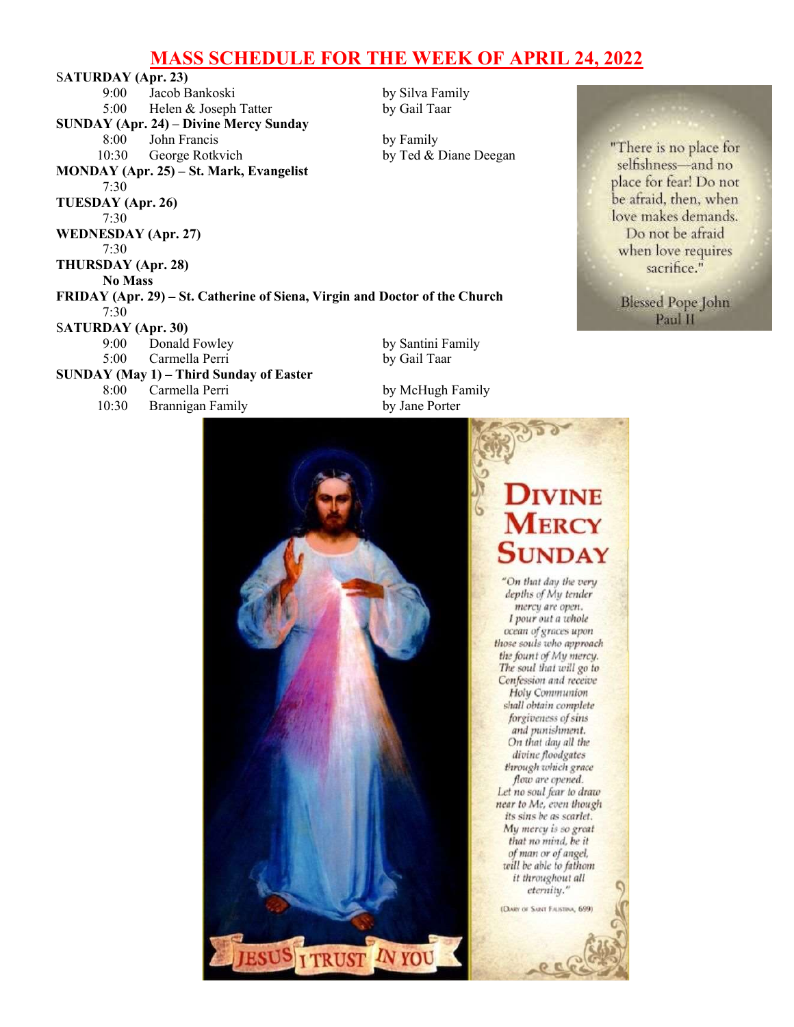# MASS SCHEDULE FOR THE WEEK OF APRIL 24, 2022

SATURDAY (Apr. 23) 9:00 Jacob Bankoski by Silva Family 5:00 Helen & Joseph Tatter by Gail Taar SUNDAY (Apr. 24) – Divine Mercy Sunday 8:00 John Francis by Family 10:30 George Rotkvich by Ted & Diane Deegan MONDAY (Apr. 25) – St. Mark, Evangelist 7:30 TUESDAY (Apr. 26) 7:30 WEDNESDAY (Apr. 27) 7:30 THURSDAY (Apr. 28) No Mass FRIDAY (Apr. 29) – St. Catherine of Siena, Virgin and Doctor of the Church 7:30 SATURDAY (Apr. 30) 9:00 Donald Fowley by Santini Family 5:00 Carmella Perri by Gail Taar SUNDAY (May 1) – Third Sunday of Easter 8:00 Carmella Perri by McHugh Family 10:30 Brannigan Family by Jane Porter

"There is no place for selfishness-and no place for fear! Do not be afraid, then, when love makes demands. Do not be afraid when love requires sacrifice."

> **Blessed Pope John** Paul II